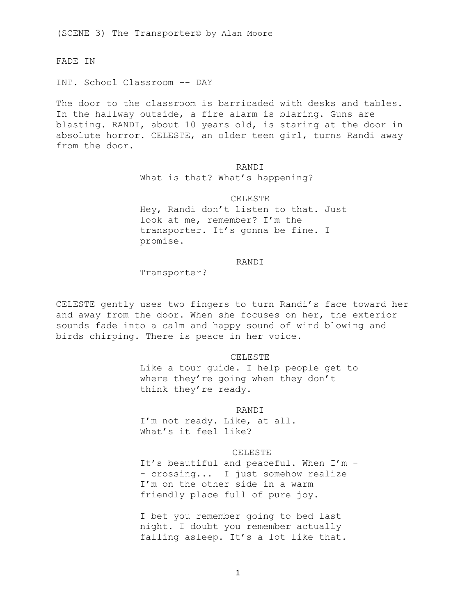(SCENE 3) The Transporter© by Alan Moore

FADE IN

INT. School Classroom -- DAY

The door to the classroom is barricaded with desks and tables. In the hallway outside, a fire alarm is blaring. Guns are blasting. RANDI, about 10 years old, is staring at the door in absolute horror. CELESTE, an older teen girl, turns Randi away from the door.

> **RANDI** What is that? What's happening?

CELESTE Hey, Randi don't listen to that. Just look at me, remember? I'm the transporter. It's gonna be fine. I promise.

# RANDI

Transporter?

CELESTE gently uses two fingers to turn Randi's face toward her and away from the door. When she focuses on her, the exterior sounds fade into a calm and happy sound of wind blowing and birds chirping. There is peace in her voice.

#### CELESTE

Like a tour guide. I help people get to where they're going when they don't think they're ready.

RANDI

I'm not ready. Like, at all. What's it feel like?

# CELESTE

It's beautiful and peaceful. When I'm - - crossing... I just somehow realize I'm on the other side in a warm friendly place full of pure joy.

I bet you remember going to bed last night. I doubt you remember actually falling asleep. It's a lot like that.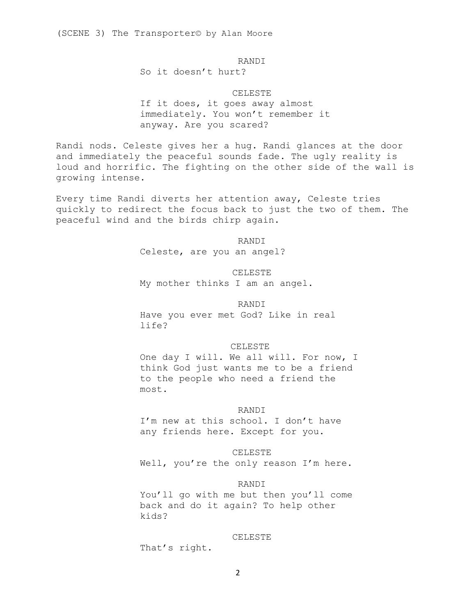RANDI

So it doesn't hurt?

CELESTE

If it does, it goes away almost immediately. You won't remember it anyway. Are you scared?

Randi nods. Celeste gives her a hug. Randi glances at the door and immediately the peaceful sounds fade. The ugly reality is loud and horrific. The fighting on the other side of the wall is growing intense.

Every time Randi diverts her attention away, Celeste tries quickly to redirect the focus back to just the two of them. The peaceful wind and the birds chirp again.

RANDI

Celeste, are you an angel?

CELESTE My mother thinks I am an angel.

RANDI

Have you ever met God? Like in real life?

### CELESTE

One day I will. We all will. For now, I think God just wants me to be a friend to the people who need a friend the most.

### RANDI

I'm new at this school. I don't have any friends here. Except for you.

# CELESTE

Well, you're the only reason I'm here.

# RANDI

You'll go with me but then you'll come back and do it again? To help other kids?

### CELESTE

That's right.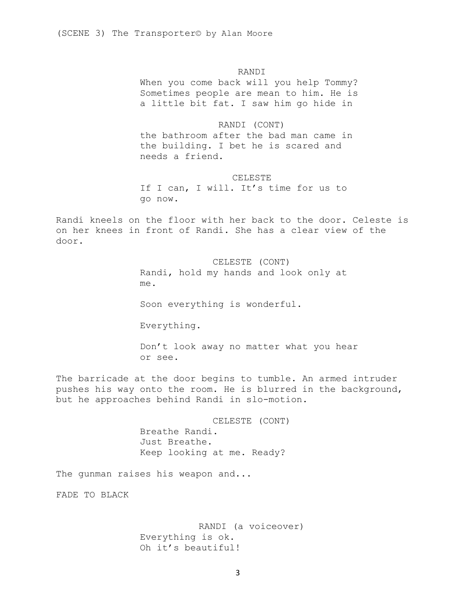# RANDI

When you come back will you help Tommy? Sometimes people are mean to him. He is a little bit fat. I saw him go hide in

# RANDI (CONT)

the bathroom after the bad man came in the building. I bet he is scared and needs a friend.

### CELESTE

If I can, I will. It's time for us to go now.

Randi kneels on the floor with her back to the door. Celeste is on her knees in front of Randi. She has a clear view of the door.

> CELESTE (CONT) Randi, hold my hands and look only at me.

Soon everything is wonderful.

Everything.

Don't look away no matter what you hear or see.

The barricade at the door begins to tumble. An armed intruder pushes his way onto the room. He is blurred in the background, but he approaches behind Randi in slo-motion.

> CELESTE (CONT) Breathe Randi. Just Breathe. Keep looking at me. Ready?

The gunman raises his weapon and...

FADE TO BLACK

RANDI (a voiceover) Everything is ok. Oh it's beautiful!